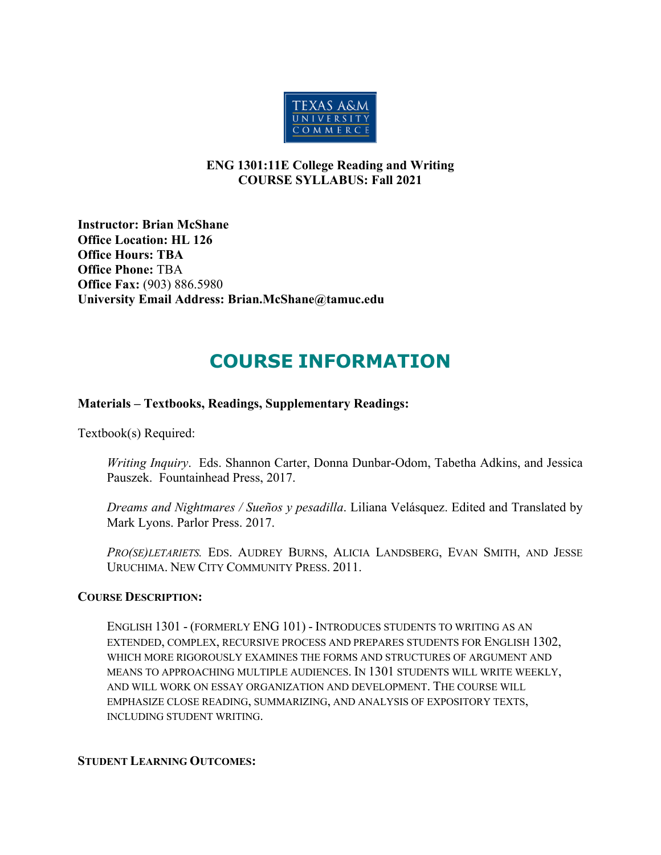

#### **ENG 1301:11E College Reading and Writing COURSE SYLLABUS: Fall 2021**

**Instructor: Brian McShane Office Location: HL 126 Office Hours: TBA Office Phone:** TBA **Office Fax: (903) 886.5980 University Email Address: Brian.McShane@tamuc.edu**

## **COURSE INFORMATION**

#### **Materials – Textbooks, Readings, Supplementary Readings:**

Textbook(s) Required:

*Writing Inquiry*. Eds. Shannon Carter, Donna Dunbar-Odom, Tabetha Adkins, and Jessica Pauszek. Fountainhead Press, 2017.

*Dreams and Nightmares / Sueños y pesadilla*. Liliana Velásquez. Edited and Translated by Mark Lyons. Parlor Press. 2017.

*PRO(SE)LETARIETS.* EDS. AUDREY BURNS, ALICIA LANDSBERG, EVAN SMITH, AND JESSE URUCHIMA. NEW CITY COMMUNITY PRESS. 2011.

#### **COURSE DESCRIPTION:**

ENGLISH 1301 - (FORMERLY ENG 101) - INTRODUCES STUDENTS TO WRITING AS AN EXTENDED, COMPLEX, RECURSIVE PROCESS AND PREPARES STUDENTS FOR ENGLISH 1302, WHICH MORE RIGOROUSLY EXAMINES THE FORMS AND STRUCTURES OF ARGUMENT AND MEANS TO APPROACHING MULTIPLE AUDIENCES. IN 1301 STUDENTS WILL WRITE WEEKLY, AND WILL WORK ON ESSAY ORGANIZATION AND DEVELOPMENT. THE COURSE WILL EMPHASIZE CLOSE READING, SUMMARIZING, AND ANALYSIS OF EXPOSITORY TEXTS, INCLUDING STUDENT WRITING.

**STUDENT LEARNING OUTCOMES:**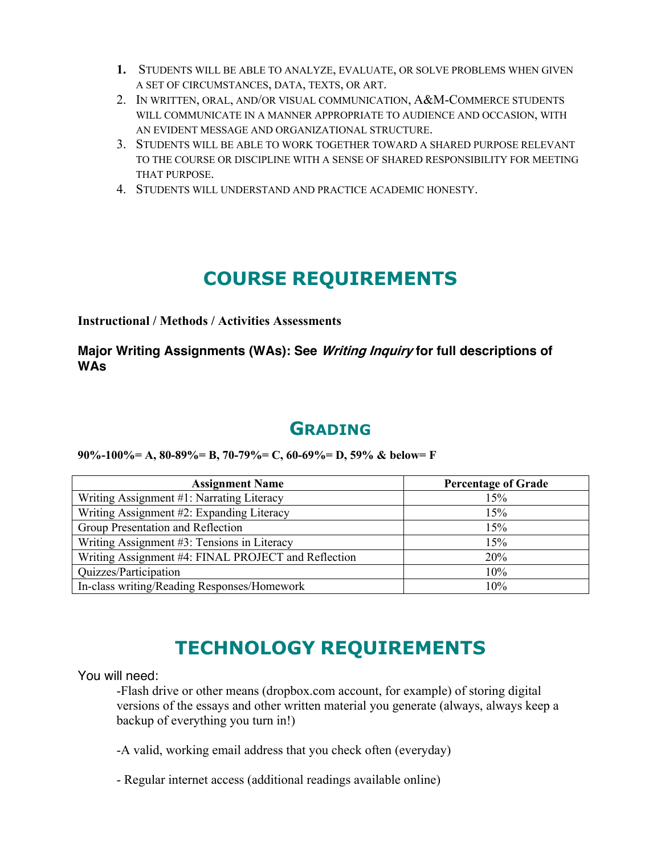- **1.** STUDENTS WILL BE ABLE TO ANALYZE, EVALUATE, OR SOLVE PROBLEMS WHEN GIVEN A SET OF CIRCUMSTANCES, DATA, TEXTS, OR ART.
- 2. IN WRITTEN, ORAL, AND/OR VISUAL COMMUNICATION, A&M-COMMERCE STUDENTS WILL COMMUNICATE IN A MANNER APPROPRIATE TO AUDIENCE AND OCCASION, WITH AN EVIDENT MESSAGE AND ORGANIZATIONAL STRUCTURE.
- 3. STUDENTS WILL BE ABLE TO WORK TOGETHER TOWARD A SHARED PURPOSE RELEVANT TO THE COURSE OR DISCIPLINE WITH A SENSE OF SHARED RESPONSIBILITY FOR MEETING THAT PURPOSE.
- 4. STUDENTS WILL UNDERSTAND AND PRACTICE ACADEMIC HONESTY.

## **COURSE REQUIREMENTS**

**Instructional / Methods / Activities Assessments**

**Major Writing Assignments (WAs): See Writing Inquiry for full descriptions of WAs**

### **GRADING**

#### **90%-100%= A, 80-89%= B, 70-79%= C, 60-69%= D, 59% & below= F**

| <b>Assignment Name</b>                              | <b>Percentage of Grade</b> |
|-----------------------------------------------------|----------------------------|
| Writing Assignment #1: Narrating Literacy           | 15%                        |
| Writing Assignment #2: Expanding Literacy           | 15%                        |
| Group Presentation and Reflection                   | 15%                        |
| Writing Assignment #3: Tensions in Literacy         | 15%                        |
| Writing Assignment #4: FINAL PROJECT and Reflection | <b>20%</b>                 |
| Quizzes/Participation                               | 10%                        |
| In-class writing/Reading Responses/Homework         | 10%                        |

## **TECHNOLOGY REQUIREMENTS**

You will need:

-Flash drive or other means (dropbox.com account, for example) of storing digital versions of the essays and other written material you generate (always, always keep a backup of everything you turn in!)

-A valid, working email address that you check often (everyday)

- Regular internet access (additional readings available online)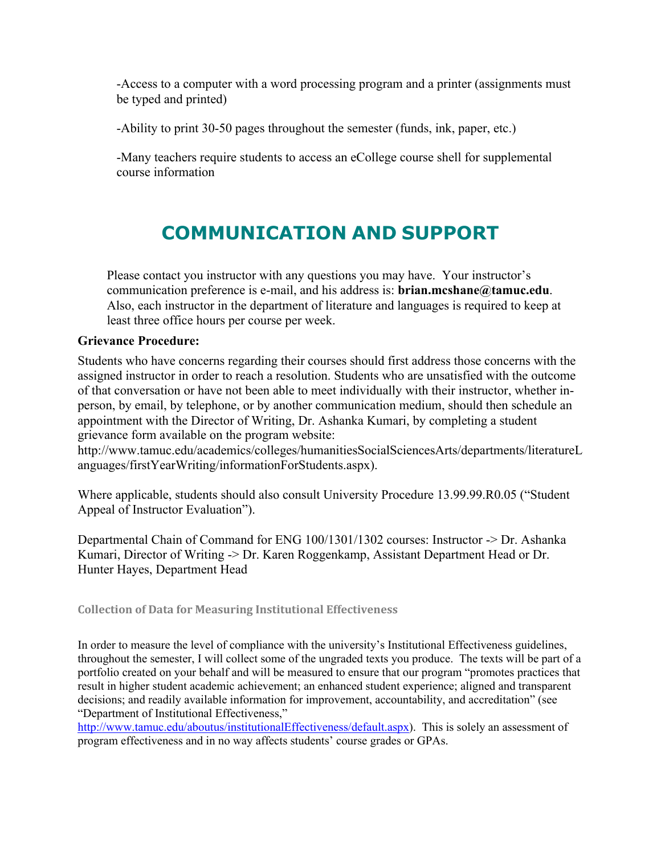-Access to a computer with a word processing program and a printer (assignments must be typed and printed)

-Ability to print 30-50 pages throughout the semester (funds, ink, paper, etc.)

-Many teachers require students to access an eCollege course shell for supplemental course information

## **COMMUNICATION AND SUPPORT**

Please contact you instructor with any questions you may have. Your instructor's communication preference is e-mail, and his address is: **brian.mcshane@tamuc.edu**. Also, each instructor in the department of literature and languages is required to keep at least three office hours per course per week.

#### **Grievance Procedure:**

Students who have concerns regarding their courses should first address those concerns with the assigned instructor in order to reach a resolution. Students who are unsatisfied with the outcome of that conversation or have not been able to meet individually with their instructor, whether inperson, by email, by telephone, or by another communication medium, should then schedule an appointment with the Director of Writing, Dr. Ashanka Kumari, by completing a student grievance form available on the program website:

http://www.tamuc.edu/academics/colleges/humanitiesSocialSciencesArts/departments/literatureL anguages/firstYearWriting/informationForStudents.aspx).

Where applicable, students should also consult University Procedure 13.99.99.R0.05 ("Student Appeal of Instructor Evaluation").

Departmental Chain of Command for ENG 100/1301/1302 courses: Instructor -> Dr. Ashanka Kumari, Director of Writing -> Dr. Karen Roggenkamp, Assistant Department Head or Dr. Hunter Hayes, Department Head

**Collection of Data for Measuring Institutional Effectiveness** 

In order to measure the level of compliance with the university's Institutional Effectiveness guidelines, throughout the semester, I will collect some of the ungraded texts you produce. The texts will be part of a portfolio created on your behalf and will be measured to ensure that our program "promotes practices that result in higher student academic achievement; an enhanced student experience; aligned and transparent decisions; and readily available information for improvement, accountability, and accreditation" (see "Department of Institutional Effectiveness,"

http://www.tamuc.edu/aboutus/institutionalEffectiveness/default.aspx). This is solely an assessment of program effectiveness and in no way affects students' course grades or GPAs.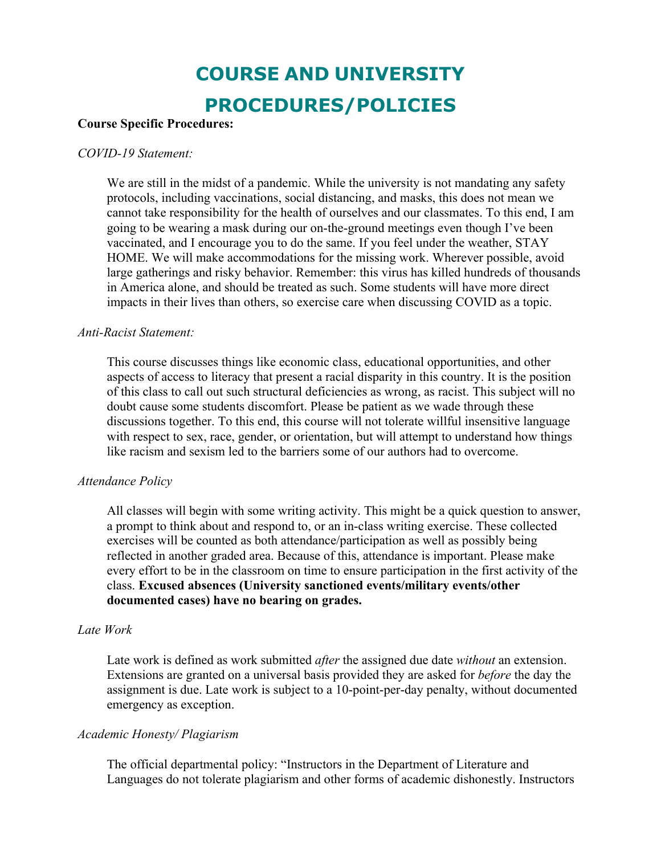# **COURSE AND UNIVERSITY PROCEDURES/POLICIES**

#### **Course Specific Procedures:**

#### *COVID-19 Statement:*

We are still in the midst of a pandemic. While the university is not mandating any safety protocols, including vaccinations, social distancing, and masks, this does not mean we cannot take responsibility for the health of ourselves and our classmates. To this end, I am going to be wearing a mask during our on-the-ground meetings even though I've been vaccinated, and I encourage you to do the same. If you feel under the weather, STAY HOME. We will make accommodations for the missing work. Wherever possible, avoid large gatherings and risky behavior. Remember: this virus has killed hundreds of thousands in America alone, and should be treated as such. Some students will have more direct impacts in their lives than others, so exercise care when discussing COVID as a topic.

#### *Anti-Racist Statement:*

This course discusses things like economic class, educational opportunities, and other aspects of access to literacy that present a racial disparity in this country. It is the position of this class to call out such structural deficiencies as wrong, as racist. This subject will no doubt cause some students discomfort. Please be patient as we wade through these discussions together. To this end, this course will not tolerate willful insensitive language with respect to sex, race, gender, or orientation, but will attempt to understand how things like racism and sexism led to the barriers some of our authors had to overcome.

#### *Attendance Policy*

All classes will begin with some writing activity. This might be a quick question to answer, a prompt to think about and respond to, or an in-class writing exercise. These collected exercises will be counted as both attendance/participation as well as possibly being reflected in another graded area. Because of this, attendance is important. Please make every effort to be in the classroom on time to ensure participation in the first activity of the class. **Excused absences (University sanctioned events/military events/other documented cases) have no bearing on grades.**

#### *Late Work*

Late work is defined as work submitted *after* the assigned due date *without* an extension. Extensions are granted on a universal basis provided they are asked for *before* the day the assignment is due. Late work is subject to a 10-point-per-day penalty, without documented emergency as exception.

#### *Academic Honesty/ Plagiarism*

The official departmental policy: "Instructors in the Department of Literature and Languages do not tolerate plagiarism and other forms of academic dishonestly. Instructors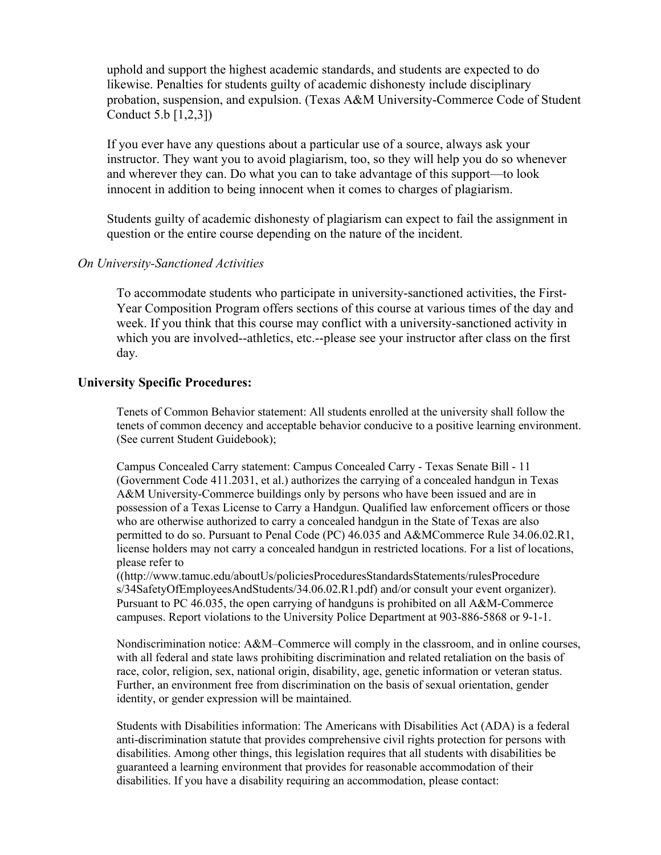uphold and support the highest academic standards, and students are expected to do likewise. Penalties for students guilty of academic dishonesty include disciplinary probation, suspension, and expulsion. (Texas A&M University-Commerce Code of Student Conduct 5.b [1,2,3])

If you ever have any questions about a particular use of a source, always ask your instructor. They want you to avoid plagiarism, too, so they will help you do so whenever and wherever they can. Do what you can to take advantage of this support—to look innocent in addition to being innocent when it comes to charges of plagiarism.

Students guilty of academic dishonesty of plagiarism can expect to fail the assignment in question or the entire course depending on the nature of the incident.

#### *On University-Sanctioned Activities*

To accommodate students who participate in university-sanctioned activities, the First-Year Composition Program offers sections of this course at various times of the day and week. If you think that this course may conflict with a university-sanctioned activity in which you are involved--athletics, etc.--please see your instructor after class on the first day*.* 

#### **University Specific Procedures:**

Tenets of Common Behavior statement: All students enrolled at the university shall follow the tenets of common decency and acceptable behavior conducive to a positive learning environment. (See current Student Guidebook);

Campus Concealed Carry statement: Campus Concealed Carry - Texas Senate Bill - 11 (Government Code 411.2031, et al.) authorizes the carrying of a concealed handgun in Texas A&M University-Commerce buildings only by persons who have been issued and are in possession of a Texas License to Carry a Handgun. Qualified law enforcement officers or those who are otherwise authorized to carry a concealed handgun in the State of Texas are also permitted to do so. Pursuant to Penal Code (PC) 46.035 and A&MCommerce Rule 34.06.02.R1, license holders may not carry a concealed handgun in restricted locations. For a list of locations, please refer to

((http://www.tamuc.edu/aboutUs/policiesProceduresStandardsStatements/rulesProcedure s/34SafetyOfEmployeesAndStudents/34.06.02.R1.pdf) and/or consult your event organizer). Pursuant to PC 46.035, the open carrying of handguns is prohibited on all A&M-Commerce campuses. Report violations to the University Police Department at 903-886-5868 or 9-1-1.

Nondiscrimination notice: A&M–Commerce will comply in the classroom, and in online courses, with all federal and state laws prohibiting discrimination and related retaliation on the basis of race, color, religion, sex, national origin, disability, age, genetic information or veteran status. Further, an environment free from discrimination on the basis of sexual orientation, gender identity, or gender expression will be maintained.

Students with Disabilities information: The Americans with Disabilities Act (ADA) is a federal anti-discrimination statute that provides comprehensive civil rights protection for persons with disabilities. Among other things, this legislation requires that all students with disabilities be guaranteed a learning environment that provides for reasonable accommodation of their disabilities. If you have a disability requiring an accommodation, please contact: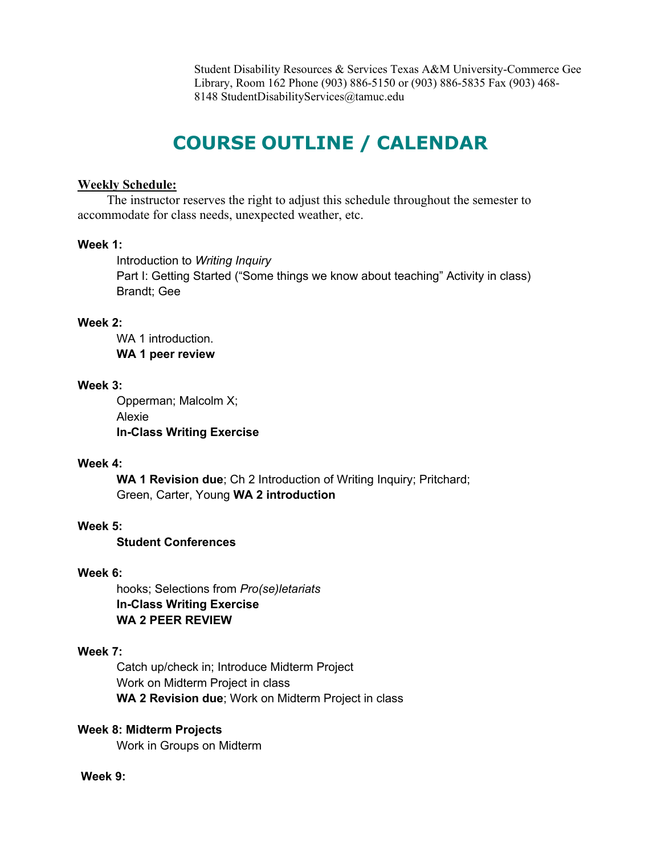Student Disability Resources & Services Texas A&M University-Commerce Gee Library, Room 162 Phone (903) 886-5150 or (903) 886-5835 Fax (903) 468- 8148 StudentDisabilityServices@tamuc.edu

# **COURSE OUTLINE / CALENDAR**

#### **Weekly Schedule:**

The instructor reserves the right to adjust this schedule throughout the semester to accommodate for class needs, unexpected weather, etc.

#### **Week 1:**

Introduction to *Writing Inquiry* Part I: Getting Started ("Some things we know about teaching" Activity in class) Brandt; Gee

#### **Week 2:**

WA 1 introduction. **WA 1 peer review**

#### **Week 3:**

Opperman; Malcolm X; Alexie **In-Class Writing Exercise**

#### **Week 4:**

**WA 1 Revision due**; Ch 2 Introduction of Writing Inquiry; Pritchard; Green, Carter, Young **WA 2 introduction**

#### **Week 5:**

**Student Conferences** 

#### **Week 6:**

hooks; Selections from *Pro(se)letariats*  **In-Class Writing Exercise WA 2 PEER REVIEW** 

#### **Week 7:**

Catch up/check in; Introduce Midterm Project Work on Midterm Project in class **WA 2 Revision due**; Work on Midterm Project in class

#### **Week 8: Midterm Projects**

Work in Groups on Midterm

#### **Week 9:**